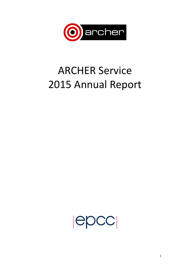

# **ARCHER Service** 2015 Annual Report

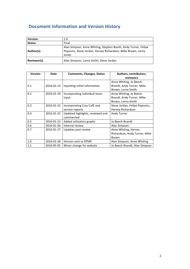# **Document Information and Version History**

| <b>Version:</b> | 1.0                                                                                                                                     |
|-----------------|-----------------------------------------------------------------------------------------------------------------------------------------|
| <b>Status</b>   | Final                                                                                                                                   |
| Author(s):      | Alan Simpson, Anne Whiting, Stephen Booth, Andy Turner, Felipe<br>Popovics, Steve Jordan, Harvey Richardson, Mike Brown, Lorna<br>Smith |
| Reviewer(s)     | Alan Simpson, Lorna Smith, Steve Jordan                                                                                                 |

| <b>Version</b> | <b>Date</b> | <b>Comments, Changes, Status</b> | Authors, contributors,         |
|----------------|-------------|----------------------------------|--------------------------------|
|                |             |                                  | reviewers                      |
|                |             |                                  | Anne Whiting, Jo Beech-        |
| 0.1            | 2016-01-13  | Inputting initial information    | Brandt, Andy Turner, Mike      |
|                |             |                                  | Brown, Lorna Smith             |
| 0.2            | 2016-01-20  | Incorporating individual team    | Anne Whiting, Jo Beech-        |
|                |             | input                            | Brandt, Andy Turner, Mike      |
|                |             |                                  | Brown, Lorna Smith             |
| 0.3            | 2016-01-22  | Incorporating Cray CofE and      | Steve Jordan, Felipe Popovics, |
|                |             | service reports                  | Harvey Richardson              |
| 0.4            | 2016-01-22  | Updated highlights, reviewed and | Andy Turner                    |
|                |             | commented                        |                                |
| 0.5            | 2016-01-22  | Added utilization graphs         | Jo Beech-Brandt                |
| 0.6            | 2016-01-26  | Internal review                  | Alan Simpson                   |
| 0.7            | 2016-01-27  | Updates post review              | Anne Whiting, Harvey           |
|                |             |                                  | Richardson, Andy Turner, Mike  |
|                |             |                                  | Brown                          |
| 1.0            | 2016-01-28  | <b>Version sent to EPSRC</b>     | Alan Simpson, Anne Whiting     |
| 1.1            | 2016-05-05  | Minor change for website         | Jo Beech-Brandt, Alan Simpson  |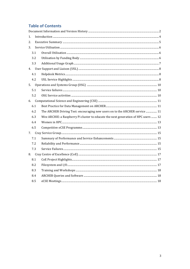# **Table of Contents**

| $1_{-}$ |                                                                                    |  |
|---------|------------------------------------------------------------------------------------|--|
| 2.      |                                                                                    |  |
| 3.      |                                                                                    |  |
| 3.1     |                                                                                    |  |
| 3.2     |                                                                                    |  |
| 3.3     |                                                                                    |  |
|         |                                                                                    |  |
| 4.1     |                                                                                    |  |
| 4.2     |                                                                                    |  |
|         |                                                                                    |  |
| 5.1     |                                                                                    |  |
| 5.2     |                                                                                    |  |
|         |                                                                                    |  |
| 6.1     |                                                                                    |  |
| 6.2     | The ARCHER Driving Test: encouraging new users on to the ARCHER service  11        |  |
| 6.3     | Wee ARCHIE: a Raspberry Pi cluster to educate the next generation of HPC users  12 |  |
| 6.4     |                                                                                    |  |
| 6.5     |                                                                                    |  |
| 7.      |                                                                                    |  |
| 7.1     |                                                                                    |  |
| 7.2     |                                                                                    |  |
| 7.3     |                                                                                    |  |
|         |                                                                                    |  |
| 8.1     |                                                                                    |  |
| 8.2     |                                                                                    |  |
| 8.3     |                                                                                    |  |
| 8.4     |                                                                                    |  |
| 8.5     |                                                                                    |  |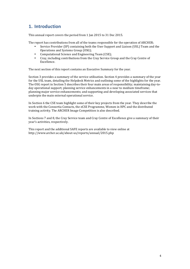# **1. Introduction**

This annual report covers the period from 1 Jan 2015 to 31 Dec 2015.

The report has contributions from all of the teams responsible for the operation of ARCHER;

- Service Provider (SP) containing both the User Support and Liaison (USL) Team and the Operations and Systems Group (OSG);
- Computational Science and Engineering Team (CSE);
- Cray, including contributions from the Cray Service Group and the Cray Centre of Excellence.

The next section of this report contains an Executive Summary for the year.

Section 3 provides a summary of the service utilisation. Section 4 provides a summary of the year for the USL team, detailing the Helpdesk Metrics and outlining some of the highlights for the year. The OSG report in Section 5 describes their four main areas of responsibility; maintaining day-today operational support; planning service enhancements in a near to medium timeframe; planning major service enhancements; and supporting and developing associated services that underpin the main external operational service.

In Section 6 the CSE team highlight some of their key projects from the year. They describe the work with the Consortia Contacts, the eCSE Programme, Women in HPC and the distributed training activity. The ARCHER Image Competition is also described.

In Sections 7 and 8, the Cray Service team and Cray Centre of Excellence give a summary of their year's activities, respectively.

This report and the additional SAFE reports are available to view online at http://www.archer.ac.uk/about-us/reports/annual/2015.php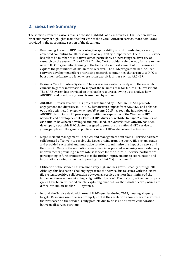## **2. Executive Summary**

The sections from the various teams describe highlights of their activities. This section gives a brief summary of highlights from the first year of the overall ARCHER service. More details are provided in the appropriate section of the document.

- Broadening Access to HPC: Increasing the applicability of, and broadening access to, advanced computing for UK research is of key strategic importance. The ARCHER service has piloted a number of initiatives aimed particularly at increasing the diversity of research on the system. The ARCHER Driving Test provides a simple way for researchers new to HPC to gain initial training in the field and a modest amount of HPC resource to explore the possibilities of HPC in their research. The eCSE programme has included software development effort prioritising research communities that are new to HPC to boost their software to a level where it can exploit facilities such as ARCHER.
- Business Case for Future Systems: The service has worked closely with the research councils to gather information to support the business case for future HPC investment. The SAFE system has provided an invaluable resource allowing us to analyse how ARCHER (and previous systems) is used and by whom.
- ARCHER Outreach Project: This project was funded by EPSRC in 2015 to promote engagement and diversity in UK HPC, demonstrate impact from ARCHER, and enhance outreach activities. In *engagement and diversity*, 2015 has seen the initiation of the ARCHER Champions HPC peer support initiative, expansion of the Women in HPC network, and development of a Faces of HPC diversity website. In *impact*, a number of case studies have been developed and published. In *outreach*: Wee ARCHIE has been developed, a portable HPC cluster designed to promote the national HPC service to young people and the general public at a series of UK-wide outreach activities.
- Major Incident Management: Technical and management staff from all service partners collaborated effectively to resolve the issues arising from the Lustre file system issues, and provided successful and innovative solutions to minimise the impact on users and their work. Many of these solutions have been incorporated as ongoing service delivery improvements providing a more robust service for the future. All service partners are participating in further initiatives to make further improvements to coordination and information sharing as well as improving the joint Major Incident Plan.
- Utilisation of the service has remained very high and has grown steadily through 2015. Although this has been a challenging year for the service due to issues with the Lustre file systems, positive collaboration between all service partners has minimised the impact on the users, maintaining a high utilisation level. The majority of the the compute cycles have been expended on jobs exploiting hundreds or thousands of cores, which are difficult to run on smaller HPC systems..
- In total, the Service dealt with around 8,100 queries during 2015, meeting all query targets. Resolving user queries promptly so that the resolution allows users to maximise their research on the service is only possible due to close and effective collaboration between all service partners.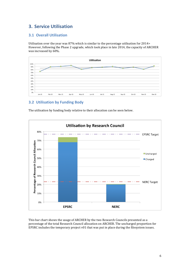# **3. Service Utilisation**

## **3.1 Overall Utilisation**

Utilisation over the year was 87% which is similar to the percentage utilisation for 2014> However, following the Phase 2 upgrade, which took place in late 2014, the capacity of ARCHER was increased by 60%.



## **3.2 Utilisation by Funding Body**

**Utilisation by Research Council** 80% **EPSRC Target** 70% Percentage of Research Council Allocation 60% Uncharged 50% Charged 40% 30% **NERC Target** 20% 10% 0% **EPSRC NERC** 

The utilisation by funding body relative to their allocation can be seen below.

This bar chart shows the usage of ARCHER by the two Research Councils presented as a percentage of the total Research Council allocation on ARCHER. The uncharged proportion for EPSRC includes the temporary project  $v01$  that was put in place during the filesystem issues.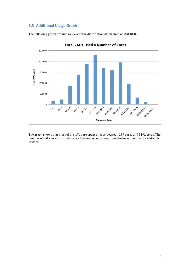## **3.3 Additional Usage Graph**



The following graph provides a view of the distribution of job sizes on ARCHER.

The graph shows that most of the kAUs are spent on jobs between 257 cores and 8192 cores. The number of kAUs used is closely related to money and shows how the investment in the system is utilised.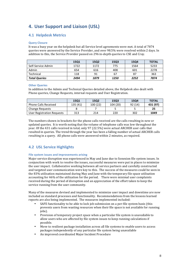# **4.** User Support and Liaison (USL)

## **4.1 Helpdesk Metrics**

#### **Query Closure**

It was a busy year on the helpdesk but all Service level agreements were met. A total of 7874 queries were answered by the Service Provider, and over 98.5% were resolved within 2 days. In addition to this, the Service Provider passed on 296 in-depth queries to CSE and Cray.

|                      | 15Q1 | 15Q2 | 15Q3 | 15Q4 | <b>TOTAL</b> |
|----------------------|------|------|------|------|--------------|
| Self-Service Admin   | 1722 | 1172 | 775  | 1564 | 5233         |
| Admin                | 654  | 616  | 408  | 601  | 2278         |
| Technical            | 118  | 91   | 67   | 87   | 363          |
| <b>Total Queries</b> | 2494 | 1879 | 1250 | 2252 | 7874         |

#### **Other Queries**

In addition to the Admin and Technical Queries detailed above, the Helpdesk also dealt with Phone queries, Change Requests, internal requests and User Registration.

|                             | 1501     | <b>15Q2</b> | <b>15Q3</b> | 1504   | <b>TOTAL</b> |
|-----------------------------|----------|-------------|-------------|--------|--------------|
| <b>Phone Calls Received</b> | 135 (41) | 100 (22)    | 104 (20)    | 92(14) | 431 (97)     |
| <b>Change Requests</b>      |          |             |             |        | 25           |
| User Registration Requests  | 313      | 214         | 220         | 302    | 1049         |

The numbers shown in brackets for the phone calls received are the calls resulting in new or updated queries. It is worth noting that the volume of telephone calls was low throughout the year. Of the 431 calls received in total, only 97 (22.5%) were actual ARCHER user calls that resulted in queries. The trend through the year has been a falling number of actual ARCHER calls resulting in a query. All phone calls were answered within 2 minutes, as required.

## **4.2 USL Service Highlights**

#### **File system issues and improvements arising**

Major service disruption was experienced in May and June due to Sonexion file system issues. In conjunction with work to resolve the issues, successful measures were put in places to minimize the user impact. Collaborative working between all service partners and carefully constructed and targeted user communication were key to this. The success of the measures could be seen in the  $83\%$  utilisation maintained during May and June with the temporary file space utilisation accounting for  $46\%$  of the utilization for the period. There were minimal user complaints received during the period of disruption and an appreciation of the effort taken to keep the service running from the user community.

Many of the measures devised and implemented to minimize user impact and downtime are now included as standard processes and functionality. Recommendations from the lessons learned reports are also being implemented. The measures implemented included:

- SAFE functionality to be able to lock job submission on a per-file system basis (this prevents users from wasting resources when their file space is not available for running jobs).
- Provision of temporary project space when a particular file system is unavailable to allow users who are affected by file system issues to keep running calculations if possible.
- Move to resilient package installation across all file systems to enable users to access packages independently of any particular file system being unavailable
- An improved coordinated Major Incident Procedure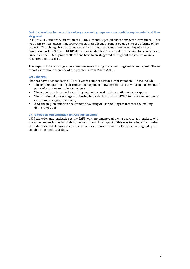#### **Period allocations for consortia and large research groups were successfully implemented and then staggered**

In Q1 of 2015, under the direction of EPSRC, 6 monthly period allocations were introduced. This was done to help ensure that projects used their allocations more evenly over the lifetime of the project. This change has had a positive effect, though the simultaneous ending of a large number of both EPSRC and NERC allocations in March 2015 caused the machine to be very busy. Since then the EPSRC project allocations have been staggered throughout the year to avoid a recurrence of this issue.

The impact of these changes have been measured using the Scheduling Coefficient report. These reports show no recurrence of the problems from March 2015.

#### **SAFE** changes

Changes have been made to SAFE this year to support service improvements. These include:

- The implementation of sub-project management allowing the PIs to devolve management of parts of a project to project managers;
- The move to an improved reporting engine to speed up the creation of user reports;
- The addition of career stage monitoring in particular to allow EPSRC to track the number of early career stage researchers:
- And, the implementation of automatic tweeting of user mailings to increase the mailing delivery options.

#### **UK-Federation authentication to SAFE implemented**

UK-Federation authentication to the SAFE was implemented allowing users to authenticate with the same credentials as for their home institution. The impact of this was to reduce the number of credentials that the user needs to remember and troubleshoot. 215 users have signed up to use this functionality to date.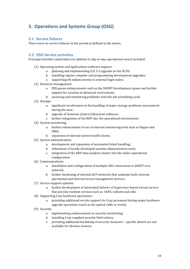# **5. Operations and Systems Group (OSG)**

#### **5.1 Service failures**

There were no service failures in the period as defined in the metric.

#### **5.2 OSG Service activities**

Principal activities undertaken (in addition to day-to-day operational cover) included:

- (1) Operating system and applications software support:
	- a. planning and implementing CLE 5.2 upgrade on the XC30;
	- b. installing regular compiler and programming development upgrades;
	- c. supporting OS enhancements to external login nodes.
- (2) Resource management:
	- a. PBS queue enhancements such as the SHORT development queue and further support for creation of advanced reservations;
	- b. assessing and monitoring problems with the job scheduling cycle.
- (3) Storage:
	- a. significant involvement in the handling of major storage problems encountered during the year;
	- b. upgrade of Sonexion (lustre) filesystem software;
	- c. further integration of the RDF into the operational environment.
- (4) System monitoring:
	- a. further enhancement of use of external monitoring tools such as Nagios and OMD;
	- b. expansion of internal system health checks.
- (5) System administration:
	- a. development and expansion of automated ticket handling;
	- b. refinement of locally-developed systems administration tools;
	- c. integration of the RDF data-analysis cluster into the wider operational configuration.
- (6) Communications:
	- a. installation and configuration of multiple 40G connections to JANET core network;
	- b. further hardening of internal ACF networks that underpin both external operational and internal secure management services.
- (7) Service support systems:
	- a. further development of automated failover of hypervisor-based virtual servers that provide resilient services such as SAFE, website and wiki.
- (8) Supporting Cray hardware operations:
	- a. providing additional on-site support for Cray personnel during major hardware upgrade operations (such as the optical cable re-work).
- (9) Security:
	- a. implementing enhancements to security monitoring;
	- b. installing Cray-supplied security field notices;
	- c. providing additional hardening of security measures specific details are not available for obvious reasons.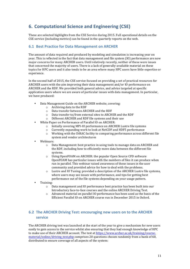# **6.** Computational Science and Engineering (CSE)

These are selected highlights from the CSE Service during 2015. Full operational details on the CSE service (including metrics) can be found in the quarterly reports on the web.

#### **6.1 Best Practice for Data Management on ARCHER**

The amount of data required and produced by modeling and simulation is increasing year on year. This is reflected in the fact that data management and file system (IO) performance are now major concerns for many ARCHER users. Until relatively recently, neither of these were issues that concerned the majority of users. There is a lack of generally-available material on these topics for HPC users and it also tends to be an area where many HPC users have little expertise or experience.

In the second half of 2015, the CSE service focused on providing a set of practical resources for ARCHER users with the aim improving their data management and/or IO performance on ARCHER and the RDF. We provided both general advice, and advice targeted at specific application users where we are aware of particular issues with data management. In particular, we have produced:

- Data Management Guide on the ARCHER website, covering:
	- $\circ$  Archiving data to the RDF
	- o Data transfer between ARCHER and the RDF o Data transfer to/from external sites to ARCH
	- Data transfer to/from external sites to ARCHER and the RDF
	- $\circ$  Different ARCHER and RDF file systems and their use
	- White Paper on Performance of Parallel IO on ARCHER:
		- o Initially covering MPI-IO performance on ARCHER Lustre file systems
		- $\circ$  Currently expanding work to look at NetCDF and HDF5 performance
		- $\circ$  Working with the DiRAC facility to comparing performance across different file system and vendor architectures
- Webinars:
	- o Data Management: best practice in using tools to manage data on ARCHER and the RDF, including how to efficiently move data between the different file systems.
	- $\circ$  Using OpenFOAM on ARCHER: the popular Open Source CFD software OpenFOAM has particular issues with the numbers of files it can produce when run in parallel. This webinar raised awareness of these issues in the user community and provided advice for how to deal with the problems.
	- $\circ$  Lustre and IO Tuning: provided a description of the ARCHER Lustre file systems, where users may see issues with performance, and tips for getting best performance out of the file systems depending on your usage pattern.
- Training:
	- o Data management and IO performance best practice has been built into our Introductory face-to-face courses and the online ARCHER Driving Test.
	- $\circ$  Advanced material on parallel IO performance has been used as the basis of the Efficient Parallel IO on ARCHER course run in December 2015 in Oxford.

### **6.2 The ARCHER Driving Test: encouraging new users on to the ARCHER service**

The ARCHER driving test was launched at the start of the year to give a mechanism for new users easily to gain access to the service whilst also ensuring that they had enough knowledge of HPC to make use of their ARCHER account. The test at https://www.archer.ac.uk/training/coursematerial/online/driving test.php comprises 20 questions chosen randomly from a bank of 60, distributed to ensure coverage of all aspects of the system: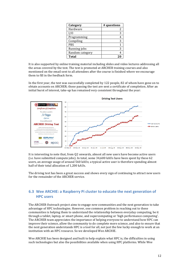| Category        | # questions |
|-----------------|-------------|
| Hardware        |             |
| I/O             |             |
| Programming     |             |
| Compiling       |             |
| PBS             |             |
| Running jobs    |             |
| Random category |             |
| <b>Total</b>    |             |

It is also supported by online training material including slides and video lectures addressing all the areas covered by the test. The test is promoted at ARCHER training courses and also mentioned on the email sent to all attendees after the course is finished where we encourage them to fill in the feedback form.

In the first year, the test was successfully completed by 122 people, 82 of whom have gone on to obtain accounts on ARCHER; those passing the test are sent a certificate of completion. After an initial burst of interest, take-up has remained very consistent throughout the year:



It is interesting to note that, from Q2 onwards, almost all new users have become active users (i.e. have submitted compute  $\{obs\}$ . In total, some  $34,600$  kAUs have been spent by these  $62$ users, an average usage of around 560 kAUs; a typical active user is therefore spending almost half of their total allocation of 1,200 kAUs.

The driving test has been a great success and shows every sign of continuing to attract new users for the remainder of the ARCHER service.

## **6.3** Wee ARCHIE: a Raspberry Pi cluster to educate the next generation of **HPC users**

The ARCHER Outreach project aims to engage new communities and the next generation to take advantage of HPC technologies. However, one common problem in reaching out to these communities is helping them to understand the relationship between everyday computing, be it through a tablet, laptop, or smart phone, and supercomputing or 'high performance computing'. The ARCHER team appreciates the importance of helping everyone to understand how HPC can improve their science, allow the community to do complete more science, and also to ensure that the next generation understands HPC is a tool for all, not just the few lucky enough to work at an institution with an HPC resource. So we developed Wee ARCHIE.

Wee ARCHIE has been designed and built to help explain what HPC is, the difficulties in using such technologies but also the possibilities available when using HPC platforms. While Wee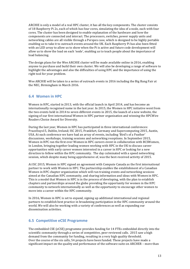ARCHIE is only a model of a real HPC cluster, it has all the key components. The cluster consists of 18 Raspberry Pi 2s, each of which has four cores, simulating the idea of a node, each with four cores. The cluster has been designed to enable explanation of the hardware and how the components are connected and interact. The processors, switches, power supply units and networking cables are all visible through a Perspex case, which is designed to be highly portable enabling us to take it to outreach events around the UK. Each Raspberry Pi has also been fitted with an LED array to allow us to show when the Pi is active and future code development will allow us to show the load on each 'node', enabling us to teach people about the importance of load balancing.

The design plans for the Wee ARCHIE cluster will be made available online in 2016, enabling anyone to purchase and build their own cluster. We will also be developing a range of software to highlight the advantages and also the difficulties of using HPC and the importance of using the right tool for your problem.

Wee ARCHIE will be taken to a series of outreach events in 2016 including the Big Bang Fair at the NEC, Birmingham in March 2016.

#### **6.4 Women in HPC**

Women in HPC, started in 2013, with the official launch in April 2014, and has become an internationally recognised name in the last year. In 2015, the Women in HPC initiative went from the two events held in 2014 to seven different events in 2015, the launch of a new website, the signing of our first international Women in HPC partner organisation and winning the HPCWire Readers Choice Award for Diversity.

During the last year, Women in HPC has participated in three international conferences: PraceDays15, Dublin, Ireland; ISC 2015, Frankfurt, Germany and Supercomputing 2015, Austin, USA. At each conference we have had an array of events, including 'Bird's of a Feather' discussions, workshops, training sessions and networking receptions. In September 2015, Women in HPC ran the first ever Women in HPC careers event in collaboration with BCSWomen, in London, bringing together leading women working with HPC in the UK to discuss career opportunities with early career women interested in a career in HPC or looking for a new direction to follow within the HPC community. The day culminated with a speed networking session, which despite many being apprehensive of, was the best-received activity of 2015.

At ISC 2015, Women in HPC signed an agreement with Compute Canada as the first international partner to work with Women in HPC. The partnership enables the establishment of a Canadian Women in HPC chapter organisation which will run training events and networking sessions aimed at the Canadian HPC community, and sharing information and ideas with Women in HPC. This is a model that Women in HPC is in the process of developing, with the plan to establish chapters and partnerships around the globe providing the opportunity for women in the HPC community to network internationally as well as the opportunity to encourage other women to move into a career within the HPC community.

In 2016, Women in HPC is set to expand, signing up additional international and regional partners to establish best practice in broadening participation in the HPC community around the world. We will also be working with a variety of conferences as well as expanding our dissemination activities.

#### **6.5 Competitive eCSE Programme**

The embedded CSE (eCSE) programme provides funding for 14 FTEs embedded directly into the scientific community through a series of competitive, peer-reviewed calls. 2015 saw a high  $d$  demand from the community for funding, resulting in a very high quality threshold. Over the course of the six calls, 54 projects have been funded. These projects have made a significant impact on the quality and performance of the software suite on ARCHER – more than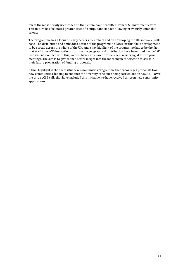ten of the most heavily used codes on the system have benefitted from eCSE investment effort. This in turn has facilitated greater scientific output and impact, allowing previously untenable science.

The programme has a focus on early career researchers and on developing the UK software skills base. The distributed and embedded nature of the programme allows for this skills development to be spread across the whole of the UK, and a key highlight of the programme has to be the fact that staff from  $\sim$ 30 institutions from a wide geographical distribution have benefitted from eCSE investment. Coupled with this, we will have early career researchers observing at future panel meetings. The aim is to give them a better insight into the mechanism of selection to assist in their future preparation of funding proposals.

A final highlight is the successful new communities programme that encourages proposals from new communities, looking to enhance the diversity of science being carried out on ARCHER. Over the three eCSE calls that have included this initiative we have received thirteen new community applications.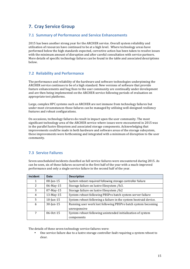# **7. Cray Service Group**

### **7.1 Summary of Performance and Service Enhancements**

2015 has been another strong year for the ARCHER service. Overall system reliability and utilisation of resources have continued to be at a high level. Where technology areas have performed below the high standards expected, corrective action has been taken to resolve issues with the minimum amount of disruption and after careful consultation with service partners. More details of specific technology failures can be found in the table and associated descriptions below.

## **7.2 Reliability and Performance**

The performance and reliability of the hardware and software technologies underpinning the ARCHER service continues to be of a high standard. New versions of software that provide feature enhancements and bug fixes to the user community are continually under development and are then being implemented on the ARCHER service following periods of evaluation on appropriate test platforms.

Large, complex HPC systems such as ARCHER are not immune from technology failures but under most circumstances those failures can be managed by utilising well-designed resiliency features and robust configurations.

On occasions, technology failures do result in impact upon the user community. The most significant technology area of the ARCHER service where issues were encountered in 2015 was in the parallel lustre filesystem and associated storage components. Acknowledging that improvements could be made in both hardware and software areas of the storage subsystem, these improvements were forthcoming and integrated with a minimum of disruption to the user community.

## **7.3 Service Failures**

Seven unscheduled incidents classified as full service failures were encountered during 2015. As can be seen, six of these failures occurred in the first half of the year with a much-improved performance and only a single service failure in the second half of the year.

| Incident       | Date         | <b>Description</b>                                               |
|----------------|--------------|------------------------------------------------------------------|
| 1              | $08$ -Jan-15 | System reboot required following storage controller failure      |
| $\mathcal{P}$  | 06-May-15    | Storage failure on lustre filesystem /fs3.                       |
| 3              | 07-May-15    | Storage failure on lustre filesystem /fs2                        |
| 4              | 13-May-15    | System reboot following PBSPro batch system server failure       |
| 5              | $10$ -Jun-15 | System reboot following a failure in the system bootraid device. |
| 6              | $30$ -Jun-15 | Running user work lost following PBSPro batch system becoming    |
|                |              | unresponsive                                                     |
| $\overline{7}$ | $06-0ct-15$  | System reboot following unintended initialization of system      |
|                |              | components                                                       |

The details of these seven technology service failures were:

One service failure due to a lustre storage controller fault requiring a system reboot to clear.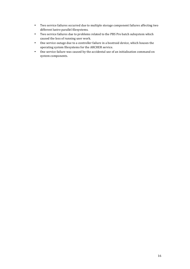- Two service failures occurred due to multiple storage component failures affecting two different lustre parallel filesystems.
- Two service failures due to problems related to the PBS Pro batch subsystem which caused the loss of running user work.
- One service outage due to a controller failure in a bootraid device, which houses the operating system filesystems for the ARCHER service.
- One service failure was caused by the accidental use of an initialisation command on system components.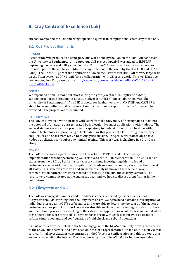# **8.** Cray Centre of Excellence (CoE)

Michael Neff joined the CoE and brings specific expertise in computational chemistry to the CoE.

#### **8.1 CoE Project Highlights**

#### **HIPSTAR**

A case study was produced on some previous work done by the CoE on the HiPSTAR code from the University of Southampton. In a previous CoE project, OpenMP was added to HiPSTAR improving the code scalability considerably. This OpenMP work was then used as a basis for an OpenACC port of the application (done in conjunction with the users by the ARCHER and ORNL CoEs). The OpenACC port of the application allowed the users to run HiPSTAR to very large scale on the Titan system at ORNL, and form a collaboration with GE in this work. This work has been documented in a Cray case study - http://www.cray.com/sites/default/files/XC30-ARCHER-HiPSTAR-0315.pdf. 

#### **ONETEP**

We expended a small amount of effort during the year (via other UK Applications Staff) supporting a Poisson-Boltzmann Equation solver for ONETEP (in collaboration with The University of Southampton). An eCSE proposal for further work with ONETEP and CASTEP is about to be submitted and it is our intention that continuing support from the CoE would be provided if the project was to be funded.

#### **HADOOP/Spark**

The CoE was involved with a project with users from the University of Nottingham to look into the potential of analyzing data generated by molecular dynamics applications with Hadoop. The general aim here was really a proof-of-concept study to understand what can be done with Hadoop technologies in processing of HPC data. For this project, the CoE brought in experts in MapReduce and Spark from Cray's Data Analytics division. In April, work started on a basic Hadoop application with subsequent initial testing. This work was highlighted in a Cray Case Study.

#### **PDNS3D**

The CoE investigated a performance problem with the PDNS3D code. The coarray implementation was not performing well relative to the MPI implementation. The CoE used an expert from the US Cray Performance team to continue investigating this. He found a performance issue with the Cray compiler that disadvantages the coarray version of the code at all scales. This issue was resolved and subsequent analysis showed that the halo-swap communication patterns are implemented differently in the MPI and coarray versions. The results were communicated at the end of the year and we hope to discuss them further in the near future.

#### **8.2 Filesystem and I/O**

The CoE was engaged to understand the adverse effects reported by users as a result of filesystem rebuilds. Working with the Cray team onsite, we performed a detailed investigation of individual storage unit (OST) performance and were able to determine the cause of the adverse performance. As part of this work, we were also able to show that the tuning of both raid-check and the rebuild process was working to the extent that applications would be less impacted when these operations were throttled. Filesystem tasks are now much less intrusive as a result of software improvements and configuration of raid-check and rebuild operations.

As part of this effort the CoE also started to engage with the NCAS community, were given access to the NCAS Puma service, and have been able to run a representative UM job on ARCHER via that service. Initial investigations concentrated on the I/O server configuration and this is a topic that we hope to revisit in the future. The direct investigation of NCAS UM jobs became less relevant